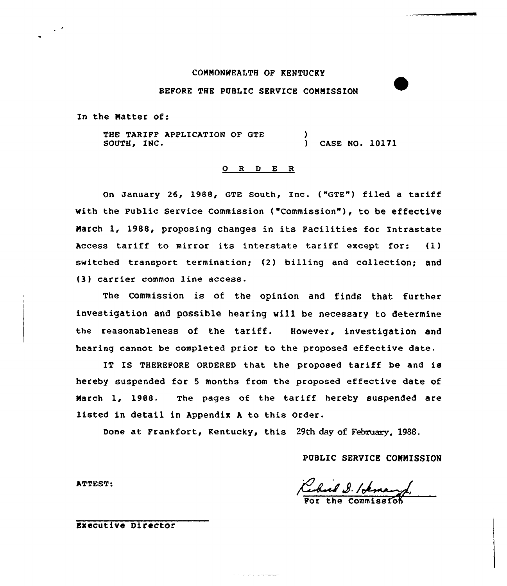# COMMONWEALTH OF KENTUCKY

# BEFORE THE PUBLIC SERVICE COMMISSION

In the Matter of:

 $\mathcal{L}^{\mathcal{A}}$ 

THE TARIFF APPLICATION OF GTE SOUTH, INC. ) ) CASE NO. 10171

### 0 R <sup>D</sup> E R

On January 26, 1988, GTE South, Inc. ("GTE") filed a tariff vith the Public Service Commission ("Commission" ), to be effective March 1, 1988, proposing changes in its Facilities for Intrastate Access tariff to mirror its interstate tariff except for: (1) switched transport termination; (2) billing and collection; and (3) carrier common line access.

The Commission is of the opinion and finds that further investigation and possible hearing will be necessary to determine the reasonableness of the tariff. However, investigation and hearing cannot be completed prior to the proposed effective date.

IT IS THEREFORE ORDERED that the proposed tariff be and is hereby suspended for <sup>5</sup> months from the proposed effective date of Narch 1, l9BB. The pages of the tariff hereby suspended are listed in detail in Appendix <sup>A</sup> to this order.

Done at Frankfort, Kentucky, this 29th day of February, 1988.

and the second company

PUBLIC SERVICE COMMISSION

 $\boldsymbol{\ell}$ ERVICE COMM:<br>d./*demand*/<br>commission

For the

ATTEST:

Executive Director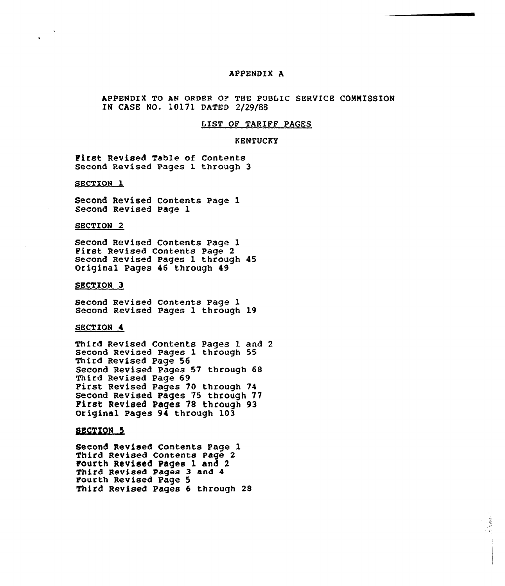# APPENDIX A

APPENDIX TO AN ORDER OP THE PUBLIC SERVICE COMMISSION IN CASE NO. 10171 DATED 2/29/88

### LEST OP TARIFF PAGES

#### KENTUCKY

First Revised Table of Contents Second Revised Pages 1 through 3

SECTION 1

Second Revised Contents Page 1 Second Revised Page 1

SECTION 2

Second Revised Contents Page 1 First Revised Contents Page <sup>2</sup> Second Revised Pages 1 through 45 Original Pages 46 through 49

SECTION 3

Second Revised Contents Page 1 Second Revised Pages 1 through 19

#### SECTION 4

Third Revised Contents Pages 1 and 2 Second Revised Pages 1 through 55 Third Revised Page 56 Second Revised Pages 57 through 68 First Revised Pages 70 through 74 Second Revised Pages 75 through 77 First Revised Pages 78 through 93 Original Pages 94 through 103

## SECTION 5

Second Revised Contents Page 1 Third Revised Contents Page 2 Fourth Revised Pages 1 and 2 Third Revised Pages 3 and 4 Fourth Revised Page 5 Third Revised Pages 6 through 28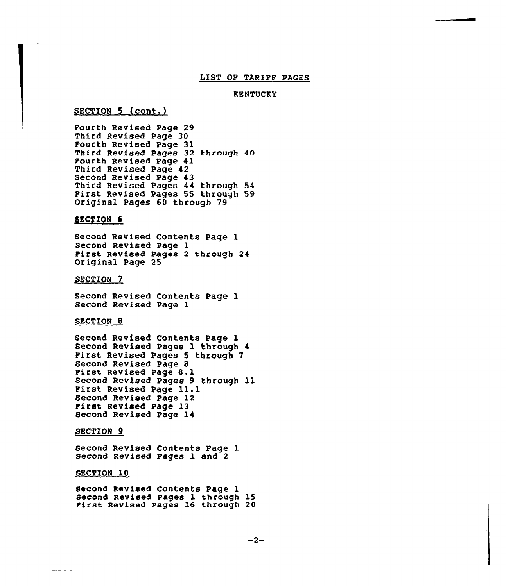#### LIST OF TARIFF PACES

## KENTUCKY

### SECTION 5 (cont.)

Fourth Revised Page 29 Third Revised Page 30 Fourth Revised Page 31 Third Revised Pages 32 through 40 Fourth Revised Page 41 Third Revised Page 42 Second Revised Page 43 Third Revised Pages <sup>44</sup> through <sup>54</sup> First Revised Pages <sup>55</sup> through <sup>59</sup> Original Pages 60 through 79

#### SECTION 6

Second Revised Contents Page 1 Second Revised Page 1 First Revised Pages <sup>2</sup> through 24 Original Page 25

#### SECTION<sub>7</sub>

Second Revised Contents Page 1 Second Revised Page 1

### SECTION<sub>8</sub>

Second Revised Contents Page 1 Second Revised Pages 1 through 4 First Revised Pages 5 through 7 Second Revised Page 8 First Revised Page 8.1 Second Revised Pages <sup>9</sup> through ll First Revised Page 11.1 Second Revised Page <sup>12</sup> First Revised Page <sup>13</sup> Second Revised Page 14

#### SECTION 9

Second Revised Contents Page 1 Second Revised Pages 1 and 2

#### SECTION 10

-------

second Revised Contents Page 1<br>Second Revised Pages 1 through 15 First Revised Pages 16 through 20